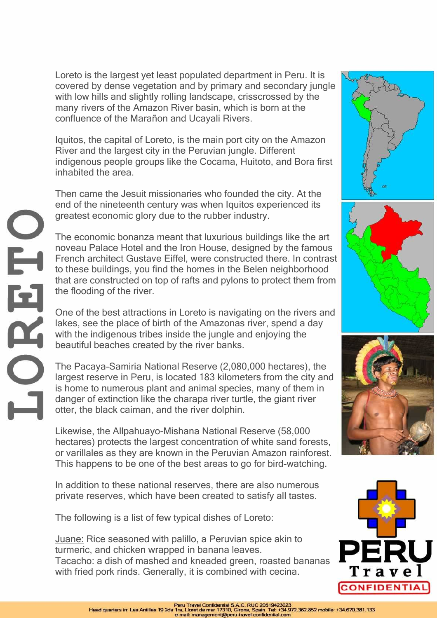Loreto is the largest yet least populated department in Peru. It is covered by dense vegetation and by primary and secondary jungle with low hills and slightly rolling landscape, crisscrossed by the many rivers of the Amazon River basin, which is born at the confluence of the Marañon and Ucayali Rivers.

Iquitos, the capital of Loreto, is the main port city on the Amazon River and the largest city in the Peruvian jungle. Different indigenous people groups like the Cocama, Huitoto, and Bora first inhabited the area.

Then came the Jesuit missionaries who founded the city. At the end of the nineteenth century was when Iquitos experienced its greatest economic glory due to the rubber industry.

The economic bonanza meant that luxurious buildings like the art noveau Palace Hotel and the Iron House, designed by the famous French architect Gustave Eiffel, were constructed there. In contrast to these buildings, you find the homes in the Belen neighborhood that are constructed on top of rafts and pylons to protect them from the flooding of the river.

One of the best attractions in Loreto is navigating on the rivers and lakes, see the place of birth of the Amazonas river, spend a day with the indigenous tribes inside the jungle and enjoying the beautiful beaches created by the river banks.

HHH

The Pacaya-Samiria National Reserve (2,080,000 hectares), the largest reserve in Peru, is located 183 kilometers from the city and is home to numerous plant and animal species, many of them in danger of extinction like the charapa river turtle, the giant river otter, the black caiman, and the river dolphin.

Likewise, the Allpahuayo-Mishana National Reserve (58,000 hectares) protects the largest concentration of white sand forests, or varillales as they are known in the Peruvian Amazon rainforest. This happens to be one of the best areas to go for bird-watching.

In addition to these national reserves, there are also numerous private reserves, which have been created to satisfy all tastes.

The following is a list of few typical dishes of Loreto:

Juane: Rice seasoned with palillo, a Peruvian spice akin to turmeric, and chicken wrapped in banana leaves. Tacacho: a dish of mashed and kneaded green, roasted bananas with fried pork rinds. Generally, it is combined with cecina.